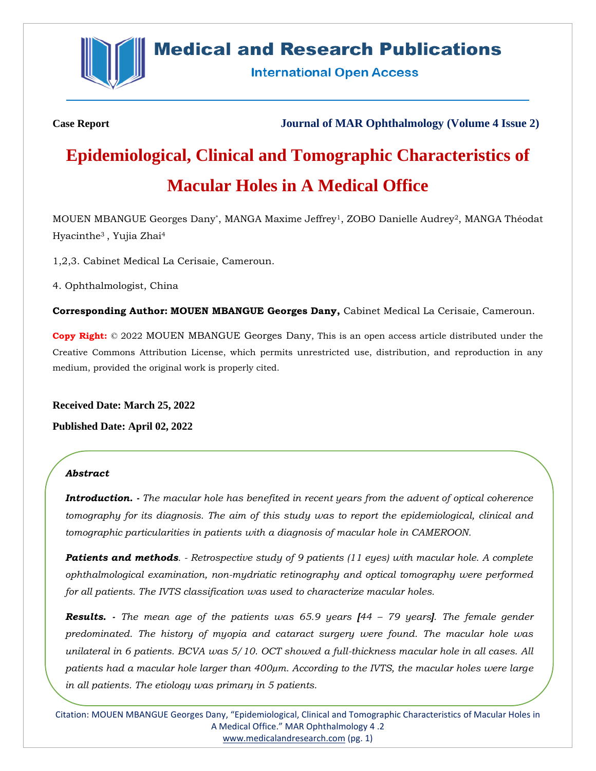

# **Medical and Research Publications**

**International Open Access** 

**Case Report Journal of MAR Ophthalmology (Volume 4 Issue 2)**

# **Epidemiological, Clinical and Tomographic Characteristics of Macular Holes in A Medical Office**

MOUEN MBANGUE Georges Dany\* , MANGA Maxime Jeffrey1, ZOBO Danielle Audrey2, MANGA Théodat Hyacinthe<sup>3</sup> , Yujia Zhai<sup>4</sup>

1,2,3. Cabinet Medical La Cerisaie, Cameroun.

4. Ophthalmologist, China

**Corresponding Author: MOUEN MBANGUE Georges Dany,** Cabinet Medical La Cerisaie, Cameroun.

**Copy Right:** © 2022 MOUEN MBANGUE Georges Dany, This is an open access article distributed under the Creative Commons Attribution License, which permits unrestricted use, distribution, and reproduction in any medium, provided the original work is properly cited.

**Received Date: March 25, 2022**

**Published Date: April 02, 2022**

#### *Abstract*

*Introduction. - The macular hole has benefited in recent years from the advent of optical coherence tomography for its diagnosis. The aim of this study was to report the epidemiological, clinical and tomographic particularities in patients with a diagnosis of macular hole in CAMEROON.*

*Patients and methods. - Retrospective study of 9 patients (11 eyes) with macular hole. A complete ophthalmological examination, non-mydriatic retinography and optical tomography were performed for all patients. The IVTS classification was used to characterize macular holes.*

*Results. - The mean age of the patients was 65.9 years [44 – 79 years]. The female gender predominated. The history of myopia and cataract surgery were found. The macular hole was unilateral in 6 patients. BCVA was 5/10. OCT showed a full-thickness macular hole in all cases. All patients had a macular hole larger than 400µm. According to the IVTS, the macular holes were large in all patients. The etiology was primary in 5 patients.*

Citation: MOUEN MBANGUE Georges Dany, "Epidemiological, Clinical and Tomographic Characteristics of Macular Holes in A Medical Office." MAR Ophthalmology 4 .2 [www.medicalandresearch.com](http://www.medicalandresearch.com/) (pg. 1)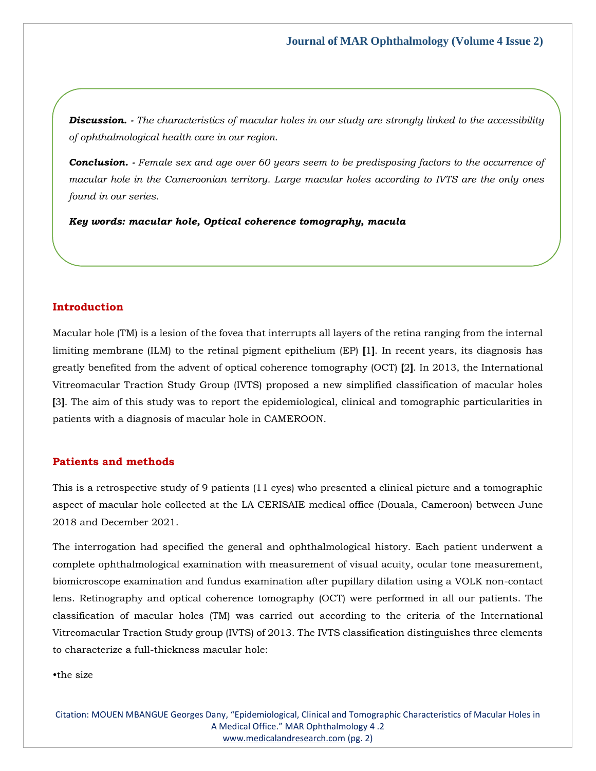*Discussion. - The characteristics of macular holes in our study are strongly linked to the accessibility of ophthalmological health care in our region.*

*Conclusion. - Female sex and age over 60 years seem to be predisposing factors to the occurrence of macular hole in the Cameroonian territory. Large macular holes according to IVTS are the only ones found in our series.*

*Key words: macular hole, Optical coherence tomography, macula*

# **Introduction**

Macular hole (TM) is a lesion of the fovea that interrupts all layers of the retina ranging from the internal limiting membrane (ILM) to the retinal pigment epithelium (EP) **[**1**]**. In recent years, its diagnosis has greatly benefited from the advent of optical coherence tomography (OCT) **[**2**]**. In 2013, the International Vitreomacular Traction Study Group (IVTS) proposed a new simplified classification of macular holes **[**3**]**. The aim of this study was to report the epidemiological, clinical and tomographic particularities in patients with a diagnosis of macular hole in CAMEROON.

# **Patients and methods**

This is a retrospective study of 9 patients (11 eyes) who presented a clinical picture and a tomographic aspect of macular hole collected at the LA CERISAIE medical office (Douala, Cameroon) between June 2018 and December 2021.

The interrogation had specified the general and ophthalmological history. Each patient underwent a complete ophthalmological examination with measurement of visual acuity, ocular tone measurement, biomicroscope examination and fundus examination after pupillary dilation using a VOLK non-contact lens. Retinography and optical coherence tomography (OCT) were performed in all our patients. The classification of macular holes (TM) was carried out according to the criteria of the International Vitreomacular Traction Study group (IVTS) of 2013. The IVTS classification distinguishes three elements to characterize a full-thickness macular hole:

•the size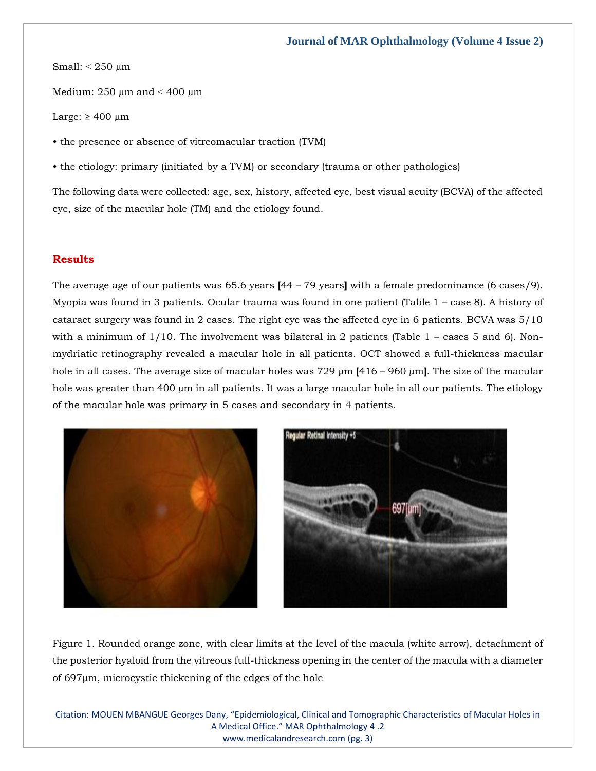Small: ˂ 250 µm

Medium:  $250 \mu m$  and  $\lt 400 \mu m$ 

Large:  $\geq 400 \mu m$ 

• the presence or absence of vitreomacular traction (TVM)

• the etiology: primary (initiated by a TVM) or secondary (trauma or other pathologies)

The following data were collected: age, sex, history, affected eye, best visual acuity (BCVA) of the affected eye, size of the macular hole (TM) and the etiology found.

# **Results**

The average age of our patients was 65.6 years **[**44 – 79 years**]** with a female predominance (6 cases/9). Myopia was found in 3 patients. Ocular trauma was found in one patient (Table 1 – case 8). A history of cataract surgery was found in 2 cases. The right eye was the affected eye in 6 patients. BCVA was 5/10 with a minimum of  $1/10$ . The involvement was bilateral in 2 patients (Table  $1$  – cases 5 and 6). Nonmydriatic retinography revealed a macular hole in all patients. OCT showed a full-thickness macular hole in all cases. The average size of macular holes was 729 µm **[**416 – 960 µm**]**. The size of the macular hole was greater than 400 µm in all patients. It was a large macular hole in all our patients. The etiology of the macular hole was primary in 5 cases and secondary in 4 patients.



Figure 1. Rounded orange zone, with clear limits at the level of the macula (white arrow), detachment of the posterior hyaloid from the vitreous full-thickness opening in the center of the macula with a diameter of 697µm, microcystic thickening of the edges of the hole

Citation: MOUEN MBANGUE Georges Dany, "Epidemiological, Clinical and Tomographic Characteristics of Macular Holes in A Medical Office." MAR Ophthalmology 4 .2 [www.medicalandresearch.com](http://www.medicalandresearch.com/) (pg. 3)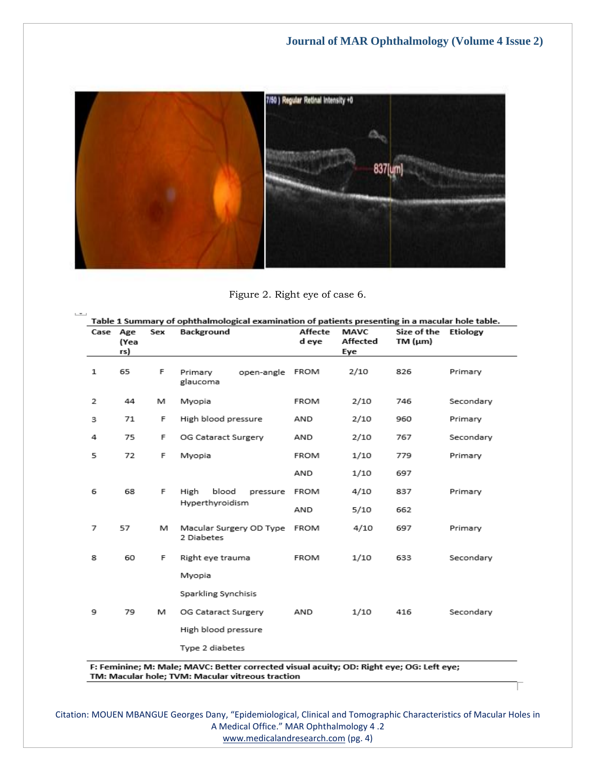

Figure 2. Right eye of case 6.

 $\mathcal{L}$ 

|   | Case Age<br>(Yea<br>rs) | Sex | Background                            | Affecte<br>d eye | <b>MAVC</b><br>Affected<br>Eye | Size of the<br>TM $(\mu m)$ | Etiology  |
|---|-------------------------|-----|---------------------------------------|------------------|--------------------------------|-----------------------------|-----------|
| 1 | 65                      | F   | open-angle<br>Primary<br>glaucoma     | FROM             | 2/10                           | 826                         | Primary   |
| 2 | 44                      | м   | Myopia                                | FROM             | 2/10                           | 746                         | Secondary |
| з | 71                      | F   | High blood pressure                   | AND              | 2/10                           | 960                         | Primary   |
| 4 | 75                      | F   | OG Cataract Surgery                   | AND              | 2/10                           | 767                         | Secondary |
| 5 | 72                      | F   | Myopia                                | <b>FROM</b>      | 1/10                           | 779                         | Primary   |
|   |                         |     |                                       | AND              | 1/10                           | 697                         |           |
| 6 | 68                      | F   | blood<br>High<br>pressure             | <b>FROM</b>      | 4/10                           | 837                         | Primary   |
|   |                         |     | Hyperthyroidism                       | AND              | 5/10                           | 662                         |           |
| 7 | 57                      | М   | Macular Surgery OD Type<br>2 Diabetes | <b>FROM</b>      | 4/10                           | 697                         | Primary   |
| 8 | 60                      | F   | Right eye trauma                      | <b>FROM</b>      | 1/10                           | 633                         | Secondary |
|   |                         |     | Myopia                                |                  |                                |                             |           |
|   |                         |     | Sparkling Synchisis                   |                  |                                |                             |           |
| 9 | 79                      | м   | OG Cataract Surgery                   | AND              | 1/10                           | 416                         | Secondary |
|   |                         |     | High blood pressure                   |                  |                                |                             |           |
|   |                         |     | Type 2 diabetes                       |                  |                                |                             |           |

F: Feminine; M: Male; MAVC: Better corrected visual acuity; OD: Right eye; OG: Left eye; TM: Macular hole; TVM: Macular vitreous traction

Citation: MOUEN MBANGUE Georges Dany, "Epidemiological, Clinical and Tomographic Characteristics of Macular Holes in A Medical Office." MAR Ophthalmology 4 .2 [www.medicalandresearch.com](http://www.medicalandresearch.com/) (pg. 4)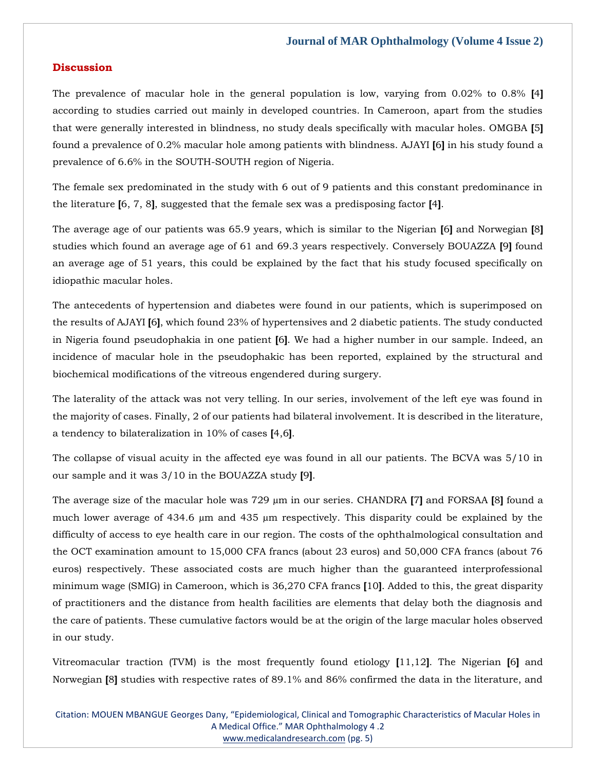#### **Discussion**

The prevalence of macular hole in the general population is low, varying from 0.02% to 0.8% **[**4**]** according to studies carried out mainly in developed countries. In Cameroon, apart from the studies that were generally interested in blindness, no study deals specifically with macular holes. OMGBA **[**5**]** found a prevalence of 0.2% macular hole among patients with blindness. AJAYI **[**6**]** in his study found a prevalence of 6.6% in the SOUTH-SOUTH region of Nigeria.

The female sex predominated in the study with 6 out of 9 patients and this constant predominance in the literature **[**6, 7, 8**]**, suggested that the female sex was a predisposing factor **[**4**]**.

The average age of our patients was 65.9 years, which is similar to the Nigerian **[**6**]** and Norwegian **[**8**]** studies which found an average age of 61 and 69.3 years respectively. Conversely BOUAZZA **[**9**]** found an average age of 51 years, this could be explained by the fact that his study focused specifically on idiopathic macular holes.

The antecedents of hypertension and diabetes were found in our patients, which is superimposed on the results of AJAYI **[**6**]**, which found 23% of hypertensives and 2 diabetic patients. The study conducted in Nigeria found pseudophakia in one patient **[**6**]**. We had a higher number in our sample. Indeed, an incidence of macular hole in the pseudophakic has been reported, explained by the structural and biochemical modifications of the vitreous engendered during surgery.

The laterality of the attack was not very telling. In our series, involvement of the left eye was found in the majority of cases. Finally, 2 of our patients had bilateral involvement. It is described in the literature, a tendency to bilateralization in 10% of cases **[**4,6**]**.

The collapse of visual acuity in the affected eye was found in all our patients. The BCVA was 5/10 in our sample and it was 3/10 in the BOUAZZA study **[**9**]**.

The average size of the macular hole was 729 µm in our series. CHANDRA **[**7**]** and FORSAA **[**8**]** found a much lower average of 434.6 µm and 435 µm respectively. This disparity could be explained by the difficulty of access to eye health care in our region. The costs of the ophthalmological consultation and the OCT examination amount to 15,000 CFA francs (about 23 euros) and 50,000 CFA francs (about 76 euros) respectively. These associated costs are much higher than the guaranteed interprofessional minimum wage (SMIG) in Cameroon, which is 36,270 CFA francs **[**10**]**. Added to this, the great disparity of practitioners and the distance from health facilities are elements that delay both the diagnosis and the care of patients. These cumulative factors would be at the origin of the large macular holes observed in our study.

Vitreomacular traction (TVM) is the most frequently found etiology **[**11,12**]**. The Nigerian **[**6**]** and Norwegian **[**8**]** studies with respective rates of 89.1% and 86% confirmed the data in the literature, and

Citation: MOUEN MBANGUE Georges Dany, "Epidemiological, Clinical and Tomographic Characteristics of Macular Holes in A Medical Office." MAR Ophthalmology 4 .2 [www.medicalandresearch.com](http://www.medicalandresearch.com/) (pg. 5)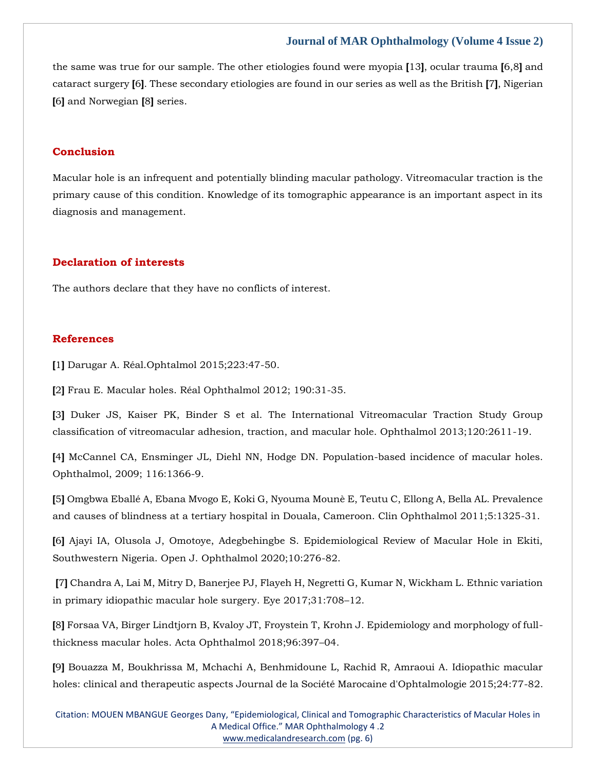### **Journal of MAR Ophthalmology (Volume 4 Issue 2)**

the same was true for our sample. The other etiologies found were myopia **[**13**]**, ocular trauma **[**6,8**]** and cataract surgery **[**6**]**. These secondary etiologies are found in our series as well as the British **[**7**]**, Nigerian **[**6**]** and Norwegian **[**8**]** series.

#### **Conclusion**

Macular hole is an infrequent and potentially blinding macular pathology. Vitreomacular traction is the primary cause of this condition. Knowledge of its tomographic appearance is an important aspect in its diagnosis and management.

# **Declaration of interests**

The authors declare that they have no conflicts of interest.

#### **References**

**[**1**]** Darugar A. Réal.Ophtalmol 2015;223:47-50.

**[**2**]** Frau E. Macular holes. Réal Ophthalmol 2012; 190:31-35.

**[**3**]** Duker JS, Kaiser PK, Binder S et al. The International Vitreomacular Traction Study Group classification of vitreomacular adhesion, traction, and macular hole. Ophthalmol 2013;120:2611-19.

**[**4**]** McCannel CA, Ensminger JL, Diehl NN, Hodge DN. Population-based incidence of macular holes. Ophthalmol, 2009; 116:1366-9.

**[**5**]** Omgbwa Eballé A, Ebana Mvogo E, Koki G, Nyouma Mounè E, Teutu C, Ellong A, Bella AL. Prevalence and causes of blindness at a tertiary hospital in Douala, Cameroon. Clin Ophthalmol 2011;5:1325-31.

**[**6**]** Ajayi IA, Olusola J, Omotoye, Adegbehingbe S. Epidemiological Review of Macular Hole in Ekiti, Southwestern Nigeria. Open J. Ophthalmol 2020;10:276-82.

**[**7**]** Chandra A, Lai M, Mitry D, Banerjee PJ, Flayeh H, Negretti G, Kumar N, Wickham L. Ethnic variation in primary idiopathic macular hole surgery. Eye 2017;31:708–12.

**[**8**]** Forsaa VA, Birger Lindtjorn B, Kvaloy JT, Froystein T, Krohn J. Epidemiology and morphology of fullthickness macular holes. Acta Ophthalmol 2018;96:397–04.

**[**9**]** Bouazza M, Boukhrissa M, Mchachi A, Benhmidoune L, Rachid R, Amraoui A. Idiopathic macular holes: clinical and therapeutic aspects Journal de la Société Marocaine d'Ophtalmologie 2015;24:77-82.

Citation: MOUEN MBANGUE Georges Dany, "Epidemiological, Clinical and Tomographic Characteristics of Macular Holes in A Medical Office." MAR Ophthalmology 4 .2 [www.medicalandresearch.com](http://www.medicalandresearch.com/) (pg. 6)